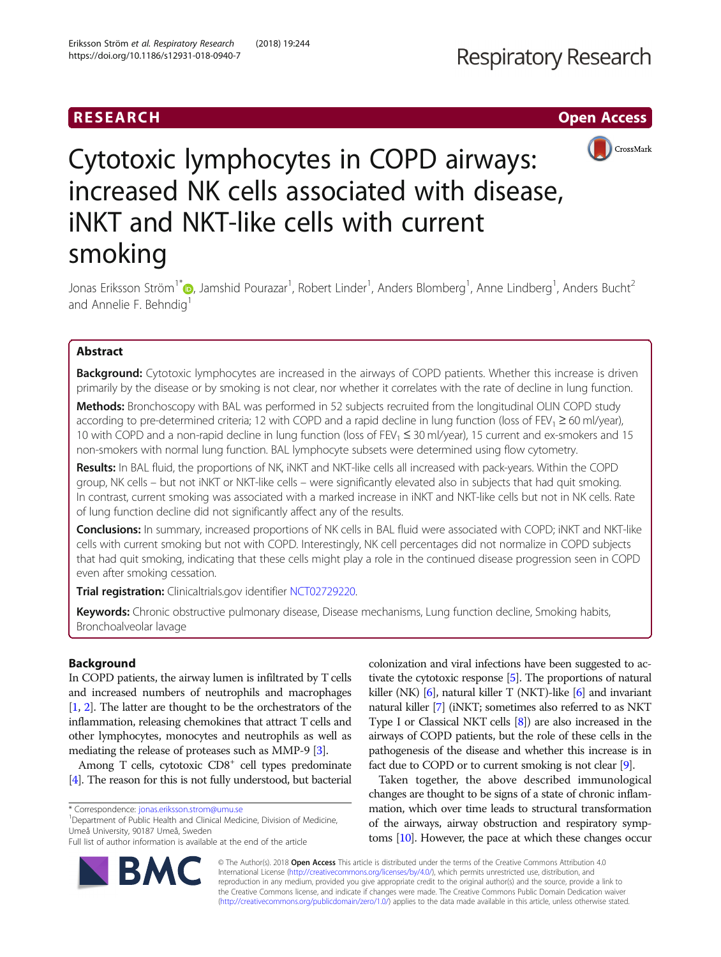## **RESEARCH CHE Open Access**



# Cytotoxic lymphocytes in COPD airways: increased NK cells associated with disease, iNKT and NKT-like cells with current smoking

Jonas Eriksson Ström<sup>1\*</sup>�[,](http://orcid.org/0000-0002-3434-988X) Jamshid Pourazar<sup>1</sup>, Robert Linder<sup>1</sup>, Anders Blomberg<sup>1</sup>, Anne Lindberg<sup>1</sup>, Anders Bucht<sup>2</sup> and Annelie F. Behndig<sup>1</sup>

## Abstract

Background: Cytotoxic lymphocytes are increased in the airways of COPD patients. Whether this increase is driven primarily by the disease or by smoking is not clear, nor whether it correlates with the rate of decline in lung function.

Methods: Bronchoscopy with BAL was performed in 52 subjects recruited from the longitudinal OLIN COPD study according to pre-determined criteria; 12 with COPD and a rapid decline in lung function (loss of FEV<sub>1</sub>  $\geq$  60 ml/year), 10 with COPD and a non-rapid decline in lung function (loss of FEV<sub>1</sub> ≤ 30 ml/year), 15 current and ex-smokers and 15 non-smokers with normal lung function. BAL lymphocyte subsets were determined using flow cytometry.

Results: In BAL fluid, the proportions of NK, iNKT and NKT-like cells all increased with pack-years. Within the COPD group, NK cells – but not iNKT or NKT-like cells – were significantly elevated also in subjects that had quit smoking. In contrast, current smoking was associated with a marked increase in iNKT and NKT-like cells but not in NK cells. Rate of lung function decline did not significantly affect any of the results.

**Conclusions:** In summary, increased proportions of NK cells in BAL fluid were associated with COPD; iNKT and NKT-like cells with current smoking but not with COPD. Interestingly, NK cell percentages did not normalize in COPD subjects that had quit smoking, indicating that these cells might play a role in the continued disease progression seen in COPD even after smoking cessation.

Trial registration: Clinicaltrials.gov identifier [NCT02729220.](https://clinicaltrials.gov/ct2/show/NCT02729220)

Keywords: Chronic obstructive pulmonary disease, Disease mechanisms, Lung function decline, Smoking habits, Bronchoalveolar lavage

## Background

In COPD patients, the airway lumen is infiltrated by T cells and increased numbers of neutrophils and macrophages [[1,](#page-8-0) [2](#page-8-0)]. The latter are thought to be the orchestrators of the inflammation, releasing chemokines that attract T cells and other lymphocytes, monocytes and neutrophils as well as mediating the release of proteases such as MMP-9 [[3](#page-8-0)].

Among T cells, cytotoxic CD8<sup>+</sup> cell types predominate [[4](#page-8-0)]. The reason for this is not fully understood, but bacterial

RA

<sup>1</sup>Department of Public Health and Clinical Medicine, Division of Medicine, Umeå University, 90187 Umeå, Sweden



Taken together, the above described immunological changes are thought to be signs of a state of chronic inflammation, which over time leads to structural transformation of the airways, airway obstruction and respiratory symptoms [\[10\]](#page-8-0). However, the pace at which these changes occur

© The Author(s). 2018 Open Access This article is distributed under the terms of the Creative Commons Attribution 4.0 International License [\(http://creativecommons.org/licenses/by/4.0/](http://creativecommons.org/licenses/by/4.0/)), which permits unrestricted use, distribution, and reproduction in any medium, provided you give appropriate credit to the original author(s) and the source, provide a link to the Creative Commons license, and indicate if changes were made. The Creative Commons Public Domain Dedication waiver [\(http://creativecommons.org/publicdomain/zero/1.0/](http://creativecommons.org/publicdomain/zero/1.0/)) applies to the data made available in this article, unless otherwise stated.

<sup>\*</sup> Correspondence: [jonas.eriksson.strom@umu.se](mailto:jonas.eriksson.strom@umu.se) <sup>1</sup>

Full list of author information is available at the end of the article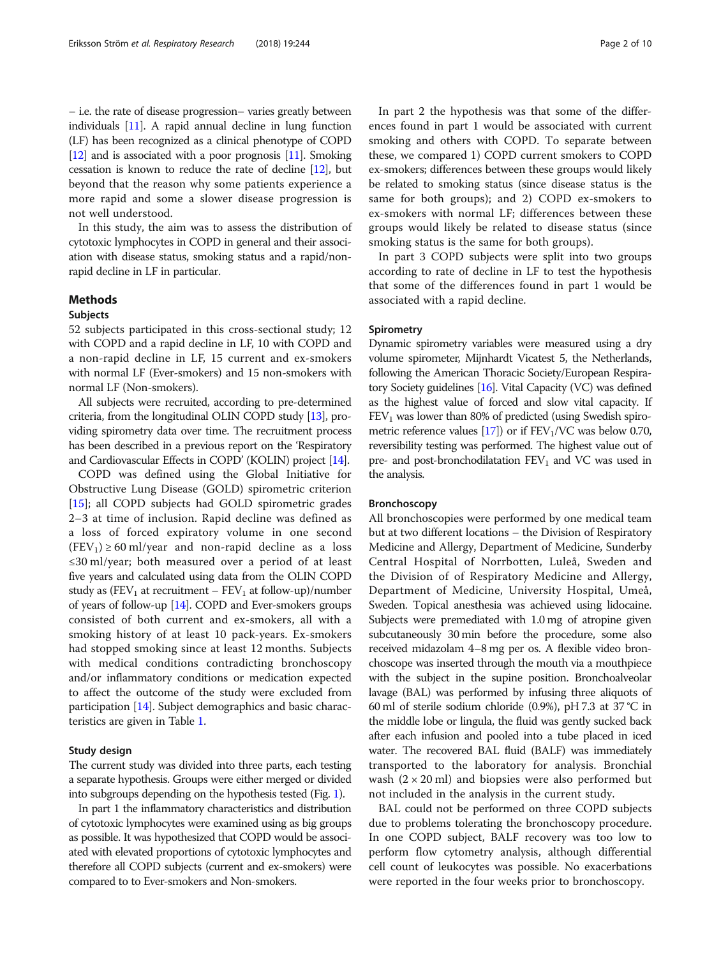– i.e. the rate of disease progression– varies greatly between individuals [\[11](#page-8-0)]. A rapid annual decline in lung function (LF) has been recognized as a clinical phenotype of COPD [[12](#page-8-0)] and is associated with a poor prognosis [\[11\]](#page-8-0). Smoking cessation is known to reduce the rate of decline [\[12](#page-8-0)], but beyond that the reason why some patients experience a more rapid and some a slower disease progression is not well understood.

In this study, the aim was to assess the distribution of cytotoxic lymphocytes in COPD in general and their association with disease status, smoking status and a rapid/nonrapid decline in LF in particular.

## Methods

## Subjects

52 subjects participated in this cross-sectional study; 12 with COPD and a rapid decline in LF, 10 with COPD and a non-rapid decline in LF, 15 current and ex-smokers with normal LF (Ever-smokers) and 15 non-smokers with normal LF (Non-smokers).

All subjects were recruited, according to pre-determined criteria, from the longitudinal OLIN COPD study [\[13\]](#page-8-0), providing spirometry data over time. The recruitment process has been described in a previous report on the 'Respiratory and Cardiovascular Effects in COPD' (KOLIN) project [[14\]](#page-8-0).

COPD was defined using the Global Initiative for Obstructive Lung Disease (GOLD) spirometric criterion [[15\]](#page-8-0); all COPD subjects had GOLD spirometric grades 2–3 at time of inclusion. Rapid decline was defined as a loss of forced expiratory volume in one second  $(FEV_1) \ge 60$  ml/year and non-rapid decline as a loss ≤30 ml/year; both measured over a period of at least five years and calculated using data from the OLIN COPD study as  $(FEV_1$  at recruitment –  $FEV_1$  at follow-up)/number of years of follow-up [\[14](#page-8-0)]. COPD and Ever-smokers groups consisted of both current and ex-smokers, all with a smoking history of at least 10 pack-years. Ex-smokers had stopped smoking since at least 12 months. Subjects with medical conditions contradicting bronchoscopy and/or inflammatory conditions or medication expected to affect the outcome of the study were excluded from participation [\[14\]](#page-8-0). Subject demographics and basic characteristics are given in Table [1](#page-2-0).

## Study design

The current study was divided into three parts, each testing a separate hypothesis. Groups were either merged or divided into subgroups depending on the hypothesis tested (Fig. [1](#page-3-0)).

In part 1 the inflammatory characteristics and distribution of cytotoxic lymphocytes were examined using as big groups as possible. It was hypothesized that COPD would be associated with elevated proportions of cytotoxic lymphocytes and therefore all COPD subjects (current and ex-smokers) were compared to to Ever-smokers and Non-smokers.

In part 2 the hypothesis was that some of the differences found in part 1 would be associated with current smoking and others with COPD. To separate between these, we compared 1) COPD current smokers to COPD ex-smokers; differences between these groups would likely be related to smoking status (since disease status is the same for both groups); and 2) COPD ex-smokers to ex-smokers with normal LF; differences between these groups would likely be related to disease status (since smoking status is the same for both groups).

In part 3 COPD subjects were split into two groups according to rate of decline in LF to test the hypothesis that some of the differences found in part 1 would be associated with a rapid decline.

## **Spirometry**

Dynamic spirometry variables were measured using a dry volume spirometer, Mijnhardt Vicatest 5, the Netherlands, following the American Thoracic Society/European Respiratory Society guidelines [\[16](#page-8-0)]. Vital Capacity (VC) was defined as the highest value of forced and slow vital capacity. If  $FEV<sub>1</sub>$  was lower than 80% of predicted (using Swedish spirometric reference values  $[17]$  $[17]$  or if  $FEV<sub>1</sub>/VC$  was below 0.70, reversibility testing was performed. The highest value out of pre- and post-bronchodilatation  $FEV<sub>1</sub>$  and VC was used in the analysis.

## Bronchoscopy

All bronchoscopies were performed by one medical team but at two different locations – the Division of Respiratory Medicine and Allergy, Department of Medicine, Sunderby Central Hospital of Norrbotten, Luleå, Sweden and the Division of of Respiratory Medicine and Allergy, Department of Medicine, University Hospital, Umeå, Sweden. Topical anesthesia was achieved using lidocaine. Subjects were premediated with 1.0 mg of atropine given subcutaneously 30 min before the procedure, some also received midazolam 4–8 mg per os. A flexible video bronchoscope was inserted through the mouth via a mouthpiece with the subject in the supine position. Bronchoalveolar lavage (BAL) was performed by infusing three aliquots of 60 ml of sterile sodium chloride (0.9%), pH 7.3 at 37 °C in the middle lobe or lingula, the fluid was gently sucked back after each infusion and pooled into a tube placed in iced water. The recovered BAL fluid (BALF) was immediately transported to the laboratory for analysis. Bronchial wash  $(2 \times 20 \text{ ml})$  and biopsies were also performed but not included in the analysis in the current study.

BAL could not be performed on three COPD subjects due to problems tolerating the bronchoscopy procedure. In one COPD subject, BALF recovery was too low to perform flow cytometry analysis, although differential cell count of leukocytes was possible. No exacerbations were reported in the four weeks prior to bronchoscopy.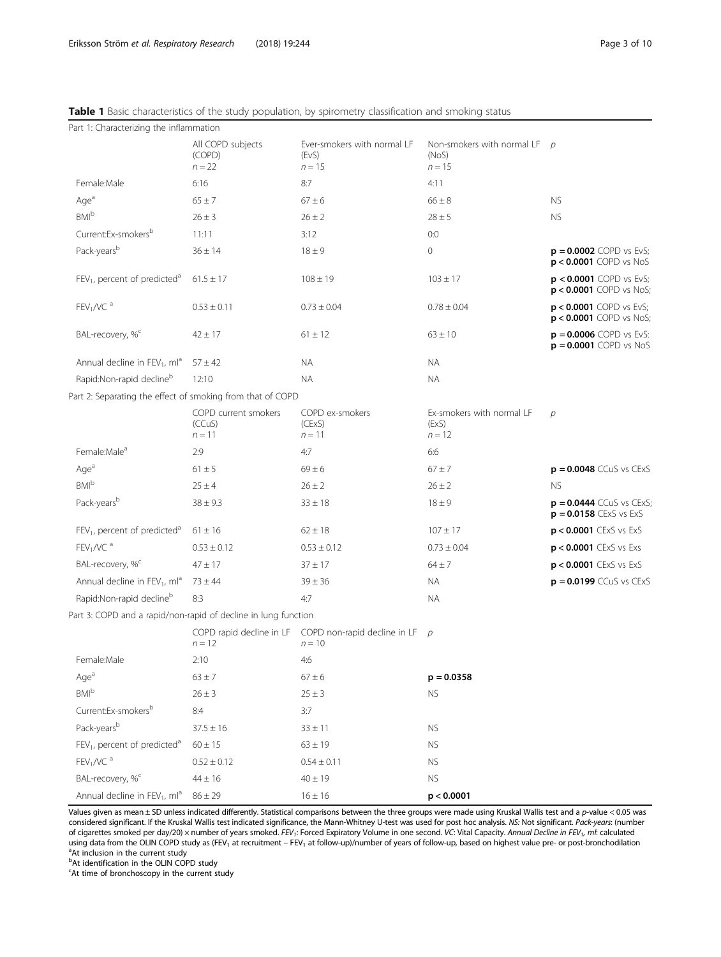<span id="page-2-0"></span>

| Part 1: Characterizing the inflammation                        |                                            |                                                                       |                                                     |                                                        |
|----------------------------------------------------------------|--------------------------------------------|-----------------------------------------------------------------------|-----------------------------------------------------|--------------------------------------------------------|
|                                                                | All COPD subjects<br>(COPD)<br>$n = 22$    | Ever-smokers with normal LF<br>(EvS)<br>$n = 15$                      | Non-smokers with normal LF $p$<br>(NoS)<br>$n = 15$ |                                                        |
| Female:Male                                                    | 6:16                                       | 8:7                                                                   | 4:11                                                |                                                        |
| Age <sup>a</sup>                                               | $65 \pm 7$                                 | $67 \pm 6$                                                            | $66 \pm 8$                                          | <b>NS</b>                                              |
| <b>BMI</b> b                                                   | $26 \pm 3$                                 | $26 \pm 2$                                                            | $28 \pm 5$                                          | <b>NS</b>                                              |
| Current:Ex-smokersb                                            | 11:11                                      | 3:12                                                                  | 0:0                                                 |                                                        |
| Pack-years <sup>b</sup>                                        | $36 \pm 14$                                | $18 + 9$                                                              | 0                                                   | $p = 0.0002$ COPD vs EvS;<br>$p < 0.0001$ COPD vs NoS  |
| $FEV1$ , percent of predicted <sup>a</sup>                     | $61.5 \pm 17$                              | $108 \pm 19$                                                          | $103 \pm 17$                                        | $p < 0.0001$ COPD vs EvS;<br>$p < 0.0001$ COPD vs NoS; |
| FEV <sub>1</sub> /VC <sup>a</sup>                              | $0.53 \pm 0.11$                            | $0.73 \pm 0.04$                                                       | $0.78 \pm 0.04$                                     | $p < 0.0001$ COPD vs EvS;<br>$p < 0.0001$ COPD vs NoS; |
| BAL-recovery, % <sup>c</sup>                                   | $42 \pm 17$                                | $61 \pm 12$                                                           | $63 \pm 10$                                         | $p = 0.0006$ COPD vs EvS:<br>$p = 0.0001$ COPD vs NoS  |
| Annual decline in $FEV_1$ , ml <sup>a</sup>                    | $57 \pm 42$                                | ΝA                                                                    | <b>NA</b>                                           |                                                        |
| Rapid:Non-rapid declineb                                       | 12:10                                      | ΝA                                                                    | <b>NA</b>                                           |                                                        |
| Part 2: Separating the effect of smoking from that of COPD     |                                            |                                                                       |                                                     |                                                        |
|                                                                | COPD current smokers<br>(CCuS)<br>$n = 11$ | COPD ex-smokers<br>(CExS)<br>$n = 11$                                 | Ex-smokers with normal LF<br>(EXS)<br>$n = 12$      | $\mathcal{D}$                                          |
| Female:Male <sup>a</sup>                                       | 2:9                                        | 4:7                                                                   | 6:6                                                 |                                                        |
| Age <sup>a</sup>                                               | $61 \pm 5$                                 | $69 \pm 6$                                                            | $67 \pm 7$                                          | $p = 0.0048$ CCuS vs CExS                              |
| <b>BMI</b> b                                                   | $25 \pm 4$                                 | $26 \pm 2$                                                            | $26 \pm 2$                                          | <b>NS</b>                                              |
| Pack-yearsb                                                    | $38 \pm 9.3$                               | $33 \pm 18$                                                           | $18 + 9$                                            | $p = 0.0444$ CCuS vs CExS;<br>$p = 0.0158$ CExS vs ExS |
| FEV <sub>1</sub> , percent of predicted <sup>a</sup>           | $61 \pm 16$                                | $62 \pm 18$                                                           | $107 \pm 17$                                        | $p < 0.0001$ CExS vs ExS                               |
| FEV <sub>1</sub> /VC <sup>a</sup>                              | $0.53 \pm 0.12$                            | $0.53 \pm 0.12$                                                       | $0.73 \pm 0.04$                                     | $p < 0.0001$ CExS vs Exs                               |
| BAL-recovery, % <sup>c</sup>                                   | $47 \pm 17$                                | $37 \pm 17$                                                           | $64 \pm 7$                                          | $p < 0.0001$ CExS vs ExS                               |
| Annual decline in FEV <sub>1</sub> , ml <sup>a</sup>           | $73 \pm 44$                                | $39 \pm 36$                                                           | ΝA                                                  | $p = 0.0199$ CCuS vs CExS                              |
| Rapid:Non-rapid decline <sup>b</sup>                           | 8:3                                        | 4:7                                                                   | <b>NA</b>                                           |                                                        |
| Part 3: COPD and a rapid/non-rapid of decline in lung function |                                            |                                                                       |                                                     |                                                        |
|                                                                | $n = 12$                                   | COPD rapid decline in LF COPD non-rapid decline in LF $p$<br>$n = 10$ |                                                     |                                                        |
| Female:Male                                                    | 2:10                                       | 4:6                                                                   |                                                     |                                                        |
| Age <sup>a</sup>                                               | $63 \pm 7$                                 | $67\pm6$                                                              | $p = 0.0358$                                        |                                                        |
| BM <sup>b</sup>                                                | $26 \pm 3$                                 | $25\pm3$                                                              | <b>NS</b>                                           |                                                        |
| Current:Ex-smokersb                                            | 8:4                                        | 3:7                                                                   |                                                     |                                                        |
| Pack-yearsb                                                    | $37.5 \pm 16$                              | $33 \pm 11$                                                           | <b>NS</b>                                           |                                                        |
| $FEV1$ , percent of predicted <sup>a</sup>                     | $60\pm15$                                  | $63 \pm 19$                                                           | <b>NS</b>                                           |                                                        |
| FEV <sub>1</sub> /VC <sup>a</sup>                              | $0.52 \pm 0.12$                            | $0.54 \pm 0.11$                                                       | <b>NS</b>                                           |                                                        |
| BAL-recovery, % <sup>c</sup>                                   | $44 \pm 16$                                | $40 \pm 19$                                                           | <b>NS</b>                                           |                                                        |
| Annual decline in FEV <sub>1</sub> , ml <sup>a</sup>           | $86 \pm 29$                                | $16 \pm 16$                                                           | p < 0.0001                                          |                                                        |

Values given as mean  $\pm$  SD unless indicated differently. Statistical comparisons between the three groups were made using Kruskal Wallis test and a p-value < 0.05 was considered significant. If the Kruskal Wallis test indicated significance, the Mann-Whitney U-test was used for post hoc analysis. NS: Not significant. Pack-years: (number of cigarettes smoked per day/20) × number of years smoked. FEV<sub>1</sub>: Forced Expiratory Volume in one second. VC: Vital Capacity. Annual Decline in FEV<sub>1</sub>, ml: calculated using data from the OLIN COPD study as (FEV<sub>1</sub> at recruitment – FEV<sub>1</sub> at follow-up)/number of years of follow-up, based on highest value pre- or post-bronchodilation

<sup>a</sup>At inclusion in the current study<br><sup>b</sup>At identification in the OLIN COPD study

<sup>c</sup>At time of bronchoscopy in the current study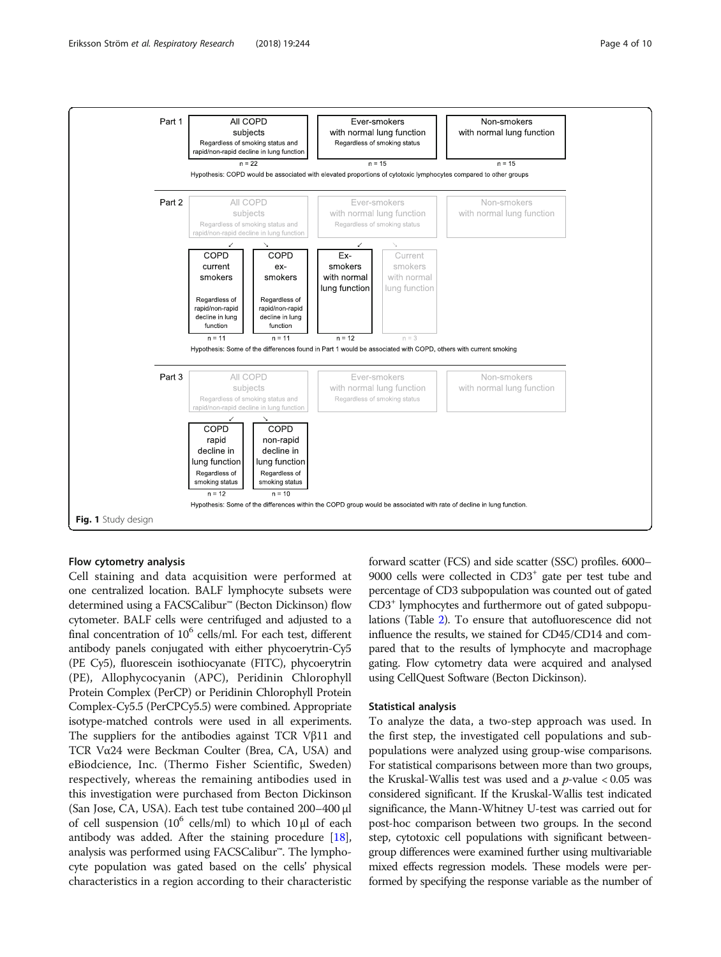<span id="page-3-0"></span>

## Flow cytometry analysis

Cell staining and data acquisition were performed at one centralized location. BALF lymphocyte subsets were determined using a FACSCalibur™ (Becton Dickinson) flow cytometer. BALF cells were centrifuged and adjusted to a final concentration of  $10^6$  cells/ml. For each test, different antibody panels conjugated with either phycoerytrin-Cy5 (PE Cy5), fluorescein isothiocyanate (FITC), phycoerytrin (PE), Allophycocyanin (APC), Peridinin Chlorophyll Protein Complex (PerCP) or Peridinin Chlorophyll Protein Complex-Cy5.5 (PerCPCy5.5) were combined. Appropriate isotype-matched controls were used in all experiments. The suppliers for the antibodies against TCR Vβ11 and TCR Vα24 were Beckman Coulter (Brea, CA, USA) and eBiodcience, Inc. (Thermo Fisher Scientific, Sweden) respectively, whereas the remaining antibodies used in this investigation were purchased from Becton Dickinson (San Jose, CA, USA). Each test tube contained 200–400 μl of cell suspension  $(10^6 \text{ cells/ml})$  to which  $10 \mu l$  of each antibody was added. After the staining procedure [[18](#page-8-0)], analysis was performed using FACSCalibur™. The lymphocyte population was gated based on the cells' physical characteristics in a region according to their characteristic forward scatter (FCS) and side scatter (SSC) profiles. 6000– 9000 cells were collected in CD3<sup>+</sup> gate per test tube and percentage of CD3 subpopulation was counted out of gated CD3+ lymphocytes and furthermore out of gated subpopulations (Table [2\)](#page-4-0). To ensure that autofluorescence did not influence the results, we stained for CD45/CD14 and compared that to the results of lymphocyte and macrophage gating. Flow cytometry data were acquired and analysed using CellQuest Software (Becton Dickinson).

## Statistical analysis

To analyze the data, a two-step approach was used. In the first step, the investigated cell populations and subpopulations were analyzed using group-wise comparisons. For statistical comparisons between more than two groups, the Kruskal-Wallis test was used and a  $p$ -value  $< 0.05$  was considered significant. If the Kruskal-Wallis test indicated significance, the Mann-Whitney U-test was carried out for post-hoc comparison between two groups. In the second step, cytotoxic cell populations with significant betweengroup differences were examined further using multivariable mixed effects regression models. These models were performed by specifying the response variable as the number of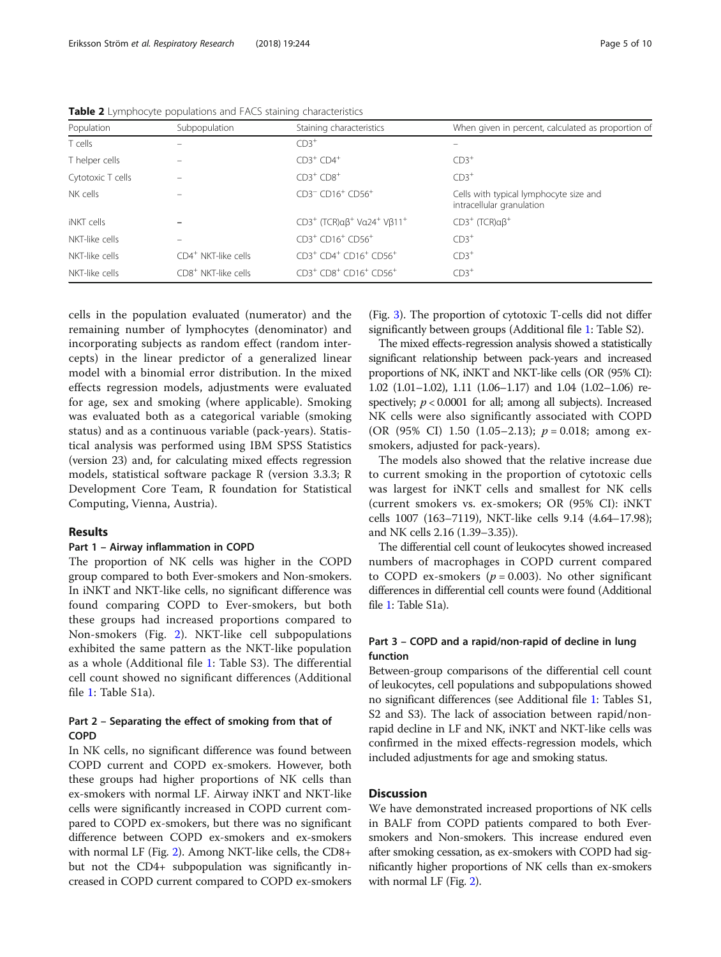| Population        | Subpopulation                   | Staining characteristics                                                                               | When given in percent, calculated as proportion of                  |
|-------------------|---------------------------------|--------------------------------------------------------------------------------------------------------|---------------------------------------------------------------------|
| T cells           |                                 | $CD3$ <sup>+</sup>                                                                                     |                                                                     |
| T helper cells    |                                 | $CD3^+$ $CD4^+$                                                                                        | $CD3+$                                                              |
| Cytotoxic T cells | $\equiv$                        | $CD3^+$ $CD8^+$                                                                                        | $CD3^+$                                                             |
| NK cells          |                                 | CD3 <sup>-</sup> CD16 <sup>+</sup> CD56 <sup>+</sup>                                                   | Cells with typical lymphocyte size and<br>intracellular granulation |
| iNKT cells        | -                               | CD3 <sup>+</sup> (TCR) $\alpha\beta$ <sup>+</sup> V $\alpha$ 24 <sup>+</sup> V $\beta$ 11 <sup>+</sup> | $CD3^+$ (TCR) $\alpha\beta^+$                                       |
| NKT-like cells    | -                               | $CD3+CD16+CD56+$                                                                                       | $CD3^+$                                                             |
| NKT-like cells    | CD4 <sup>+</sup> NKT-like cells | $CD3^+$ $CD4^+$ $CD16^+$ $CD56^+$                                                                      | $CD3^+$                                                             |
| NKT-like cells    | CD8 <sup>+</sup> NKT-like cells | CD3 <sup>+</sup> CD8 <sup>+</sup> CD16 <sup>+</sup> CD56 <sup>+</sup>                                  | $CD3^+$                                                             |

<span id="page-4-0"></span>Table 2 Lymphocyte populations and FACS staining characteristics

cells in the population evaluated (numerator) and the remaining number of lymphocytes (denominator) and incorporating subjects as random effect (random intercepts) in the linear predictor of a generalized linear model with a binomial error distribution. In the mixed effects regression models, adjustments were evaluated for age, sex and smoking (where applicable). Smoking was evaluated both as a categorical variable (smoking status) and as a continuous variable (pack-years). Statistical analysis was performed using IBM SPSS Statistics (version 23) and, for calculating mixed effects regression models, statistical software package R (version 3.3.3; R Development Core Team, R foundation for Statistical Computing, Vienna, Austria).

## Results

## Part 1 – Airway inflammation in COPD

The proportion of NK cells was higher in the COPD group compared to both Ever-smokers and Non-smokers. In iNKT and NKT-like cells, no significant difference was found comparing COPD to Ever-smokers, but both these groups had increased proportions compared to Non-smokers (Fig. [2](#page-5-0)). NKT-like cell subpopulations exhibited the same pattern as the NKT-like population as a whole (Additional file [1:](#page-8-0) Table S3). The differential cell count showed no significant differences (Additional file [1](#page-8-0): Table S1a).

## Part 2 – Separating the effect of smoking from that of COPD

In NK cells, no significant difference was found between COPD current and COPD ex-smokers. However, both these groups had higher proportions of NK cells than ex-smokers with normal LF. Airway iNKT and NKT-like cells were significantly increased in COPD current compared to COPD ex-smokers, but there was no significant difference between COPD ex-smokers and ex-smokers with normal LF (Fig. [2](#page-5-0)). Among NKT-like cells, the CD8+ but not the CD4+ subpopulation was significantly increased in COPD current compared to COPD ex-smokers

(Fig. [3](#page-6-0)). The proportion of cytotoxic T-cells did not differ significantly between groups (Additional file [1](#page-8-0): Table S2).

The mixed effects-regression analysis showed a statistically significant relationship between pack-years and increased proportions of NK, iNKT and NKT-like cells (OR (95% CI): 1.02 (1.01–1.02), 1.11 (1.06–1.17) and 1.04 (1.02–1.06) respectively;  $p < 0.0001$  for all; among all subjects). Increased NK cells were also significantly associated with COPD (OR (95% CI) 1.50 (1.05–2.13);  $p = 0.018$ ; among exsmokers, adjusted for pack-years).

The models also showed that the relative increase due to current smoking in the proportion of cytotoxic cells was largest for iNKT cells and smallest for NK cells (current smokers vs. ex-smokers; OR (95% CI): iNKT cells 1007 (163–7119), NKT-like cells 9.14 (4.64–17.98); and NK cells 2.16 (1.39–3.35)).

The differential cell count of leukocytes showed increased numbers of macrophages in COPD current compared to COPD ex-smokers ( $p = 0.003$ ). No other significant differences in differential cell counts were found (Additional file [1:](#page-8-0) Table S1a).

## Part 3 – COPD and a rapid/non-rapid of decline in lung function

Between-group comparisons of the differential cell count of leukocytes, cell populations and subpopulations showed no significant differences (see Additional file [1:](#page-8-0) Tables S1, S2 and S3). The lack of association between rapid/nonrapid decline in LF and NK, iNKT and NKT-like cells was confirmed in the mixed effects-regression models, which included adjustments for age and smoking status.

## **Discussion**

We have demonstrated increased proportions of NK cells in BALF from COPD patients compared to both Eversmokers and Non-smokers. This increase endured even after smoking cessation, as ex-smokers with COPD had significantly higher proportions of NK cells than ex-smokers with normal LF (Fig. [2\)](#page-5-0).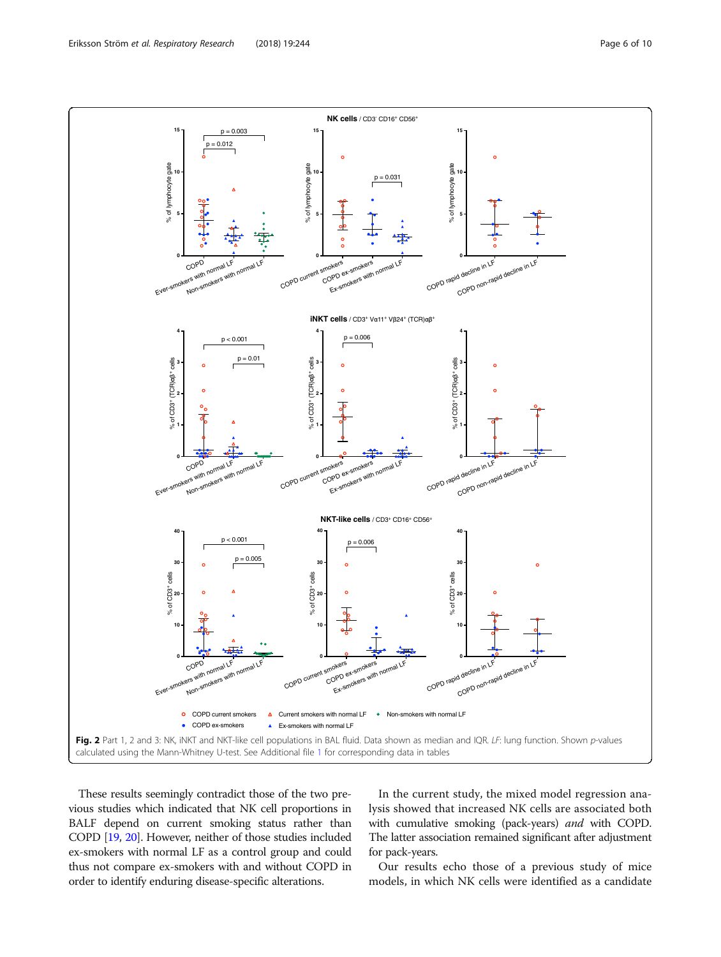<span id="page-5-0"></span>

These results seemingly contradict those of the two previous studies which indicated that NK cell proportions in BALF depend on current smoking status rather than COPD [\[19,](#page-8-0) [20](#page-8-0)]. However, neither of those studies included ex-smokers with normal LF as a control group and could thus not compare ex-smokers with and without COPD in order to identify enduring disease-specific alterations.

In the current study, the mixed model regression analysis showed that increased NK cells are associated both with cumulative smoking (pack-years) and with COPD. The latter association remained significant after adjustment for pack-years.

Our results echo those of a previous study of mice models, in which NK cells were identified as a candidate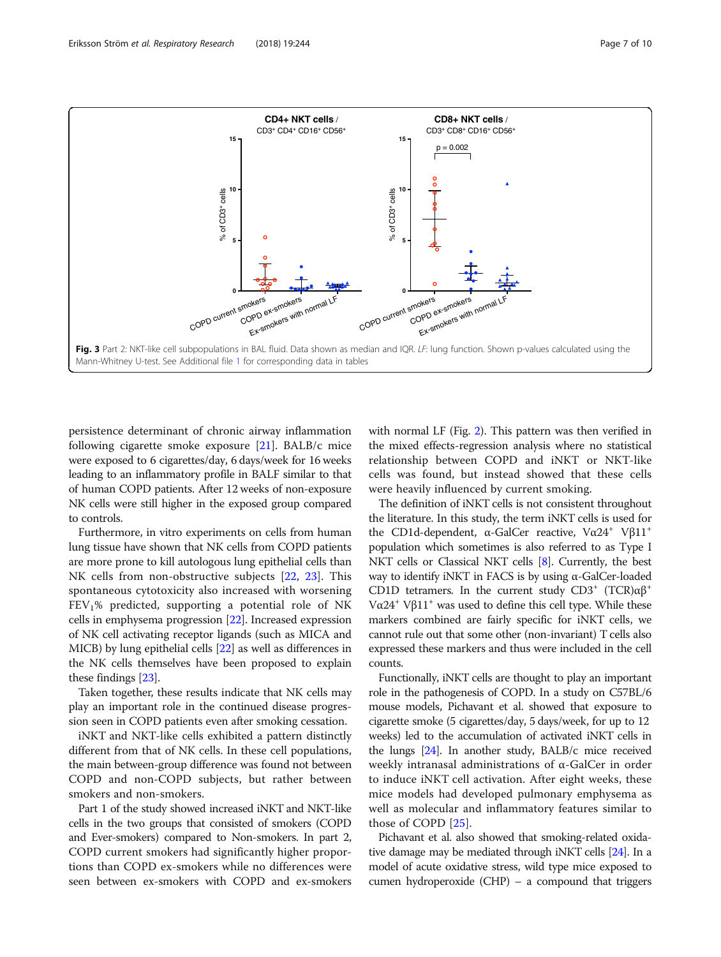<span id="page-6-0"></span>

persistence determinant of chronic airway inflammation following cigarette smoke exposure [\[21](#page-8-0)]. BALB/c mice were exposed to 6 cigarettes/day, 6 days/week for 16 weeks leading to an inflammatory profile in BALF similar to that of human COPD patients. After 12 weeks of non-exposure NK cells were still higher in the exposed group compared to controls.

Furthermore, in vitro experiments on cells from human lung tissue have shown that NK cells from COPD patients are more prone to kill autologous lung epithelial cells than NK cells from non-obstructive subjects [\[22](#page-9-0), [23](#page-9-0)]. This spontaneous cytotoxicity also increased with worsening  $FEV<sub>1</sub>%$  predicted, supporting a potential role of NK cells in emphysema progression [[22](#page-9-0)]. Increased expression of NK cell activating receptor ligands (such as MICA and MICB) by lung epithelial cells [\[22\]](#page-9-0) as well as differences in the NK cells themselves have been proposed to explain these findings [\[23](#page-9-0)].

Taken together, these results indicate that NK cells may play an important role in the continued disease progression seen in COPD patients even after smoking cessation.

iNKT and NKT-like cells exhibited a pattern distinctly different from that of NK cells. In these cell populations, the main between-group difference was found not between COPD and non-COPD subjects, but rather between smokers and non-smokers.

Part 1 of the study showed increased iNKT and NKT-like cells in the two groups that consisted of smokers (COPD and Ever-smokers) compared to Non-smokers. In part 2, COPD current smokers had significantly higher proportions than COPD ex-smokers while no differences were seen between ex-smokers with COPD and ex-smokers with normal LF (Fig. [2\)](#page-5-0). This pattern was then verified in the mixed effects-regression analysis where no statistical relationship between COPD and iNKT or NKT-like cells was found, but instead showed that these cells were heavily influenced by current smoking.

The definition of iNKT cells is not consistent throughout the literature. In this study, the term iNKT cells is used for the CD1d-dependent, α-GalCer reactive,  $Vα24$ <sup>+</sup>  $Vβ11$ <sup>+</sup> population which sometimes is also referred to as Type I NKT cells or Classical NKT cells [[8](#page-8-0)]. Currently, the best way to identify iNKT in FACS is by using α-GalCer-loaded CD1D tetramers. In the current study  $CD3^+$  (TCR) $\alpha\beta^+$ Vα24<sup>+</sup> Vβ11<sup>+</sup> was used to define this cell type. While these markers combined are fairly specific for iNKT cells, we cannot rule out that some other (non-invariant) T cells also expressed these markers and thus were included in the cell counts.

Functionally, iNKT cells are thought to play an important role in the pathogenesis of COPD. In a study on C57BL/6 mouse models, Pichavant et al. showed that exposure to cigarette smoke (5 cigarettes/day, 5 days/week, for up to 12 weeks) led to the accumulation of activated iNKT cells in the lungs [\[24](#page-9-0)]. In another study, BALB/c mice received weekly intranasal administrations of α-GalCer in order to induce iNKT cell activation. After eight weeks, these mice models had developed pulmonary emphysema as well as molecular and inflammatory features similar to those of COPD [[25\]](#page-9-0).

Pichavant et al. also showed that smoking-related oxidative damage may be mediated through iNKT cells [[24](#page-9-0)]. In a model of acute oxidative stress, wild type mice exposed to cumen hydroperoxide (CHP) – a compound that triggers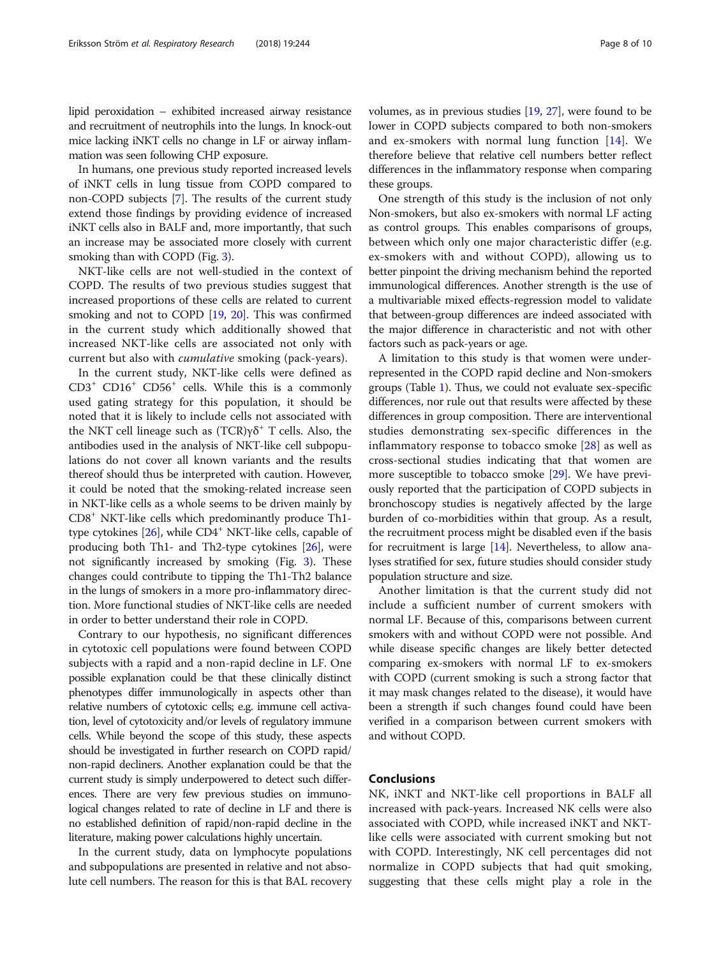lipid peroxidation – exhibited increased airway resistance and recruitment of neutrophils into the lungs. In knock-out mice lacking iNKT cells no change in LF or airway inflammation was seen following CHP exposure.

In humans, one previous study reported increased levels of iNKT cells in lung tissue from COPD compared to non-COPD subjects [[7\]](#page-8-0). The results of the current study extend those findings by providing evidence of increased iNKT cells also in BALF and, more importantly, that such an increase may be associated more closely with current smoking than with COPD (Fig. [3](#page-6-0)).

NKT-like cells are not well-studied in the context of COPD. The results of two previous studies suggest that increased proportions of these cells are related to current smoking and not to COPD [\[19](#page-8-0), [20](#page-8-0)]. This was confirmed in the current study which additionally showed that increased NKT-like cells are associated not only with current but also with cumulative smoking (pack-years).

In the current study, NKT-like cells were defined as CD3<sup>+</sup> CD16<sup>+</sup> CD56<sup>+</sup> cells. While this is a commonly used gating strategy for this population, it should be noted that it is likely to include cells not associated with the NKT cell lineage such as  $(TCR)yδ<sup>+</sup> T$  cells. Also, the antibodies used in the analysis of NKT-like cell subpopulations do not cover all known variants and the results thereof should thus be interpreted with caution. However, it could be noted that the smoking-related increase seen in NKT-like cells as a whole seems to be driven mainly by CD8+ NKT-like cells which predominantly produce Th1 type cytokines  $[26]$  $[26]$  $[26]$ , while CD4<sup>+</sup> NKT-like cells, capable of producing both Th1- and Th2-type cytokines [\[26](#page-9-0)], were not significantly increased by smoking (Fig. [3\)](#page-6-0). These changes could contribute to tipping the Th1-Th2 balance in the lungs of smokers in a more pro-inflammatory direction. More functional studies of NKT-like cells are needed in order to better understand their role in COPD.

Contrary to our hypothesis, no significant differences in cytotoxic cell populations were found between COPD subjects with a rapid and a non-rapid decline in LF. One possible explanation could be that these clinically distinct phenotypes differ immunologically in aspects other than relative numbers of cytotoxic cells; e.g. immune cell activation, level of cytotoxicity and/or levels of regulatory immune cells. While beyond the scope of this study, these aspects should be investigated in further research on COPD rapid/ non-rapid decliners. Another explanation could be that the current study is simply underpowered to detect such differences. There are very few previous studies on immunological changes related to rate of decline in LF and there is no established definition of rapid/non-rapid decline in the literature, making power calculations highly uncertain.

In the current study, data on lymphocyte populations and subpopulations are presented in relative and not absolute cell numbers. The reason for this is that BAL recovery volumes, as in previous studies [\[19](#page-8-0), [27\]](#page-9-0), were found to be lower in COPD subjects compared to both non-smokers and ex-smokers with normal lung function [\[14](#page-8-0)]. We therefore believe that relative cell numbers better reflect differences in the inflammatory response when comparing these groups.

One strength of this study is the inclusion of not only Non-smokers, but also ex-smokers with normal LF acting as control groups. This enables comparisons of groups, between which only one major characteristic differ (e.g. ex-smokers with and without COPD), allowing us to better pinpoint the driving mechanism behind the reported immunological differences. Another strength is the use of a multivariable mixed effects-regression model to validate that between-group differences are indeed associated with the major difference in characteristic and not with other factors such as pack-years or age.

A limitation to this study is that women were underrepresented in the COPD rapid decline and Non-smokers groups (Table [1\)](#page-2-0). Thus, we could not evaluate sex-specific differences, nor rule out that results were affected by these differences in group composition. There are interventional studies demonstrating sex-specific differences in the inflammatory response to tobacco smoke [[28\]](#page-9-0) as well as cross-sectional studies indicating that that women are more susceptible to tobacco smoke [[29](#page-9-0)]. We have previously reported that the participation of COPD subjects in bronchoscopy studies is negatively affected by the large burden of co-morbidities within that group. As a result, the recruitment process might be disabled even if the basis for recruitment is large [\[14\]](#page-8-0). Nevertheless, to allow analyses stratified for sex, future studies should consider study population structure and size.

Another limitation is that the current study did not include a sufficient number of current smokers with normal LF. Because of this, comparisons between current smokers with and without COPD were not possible. And while disease specific changes are likely better detected comparing ex-smokers with normal LF to ex-smokers with COPD (current smoking is such a strong factor that it may mask changes related to the disease), it would have been a strength if such changes found could have been verified in a comparison between current smokers with and without COPD.

## Conclusions

NK, iNKT and NKT-like cell proportions in BALF all increased with pack-years. Increased NK cells were also associated with COPD, while increased iNKT and NKTlike cells were associated with current smoking but not with COPD. Interestingly, NK cell percentages did not normalize in COPD subjects that had quit smoking, suggesting that these cells might play a role in the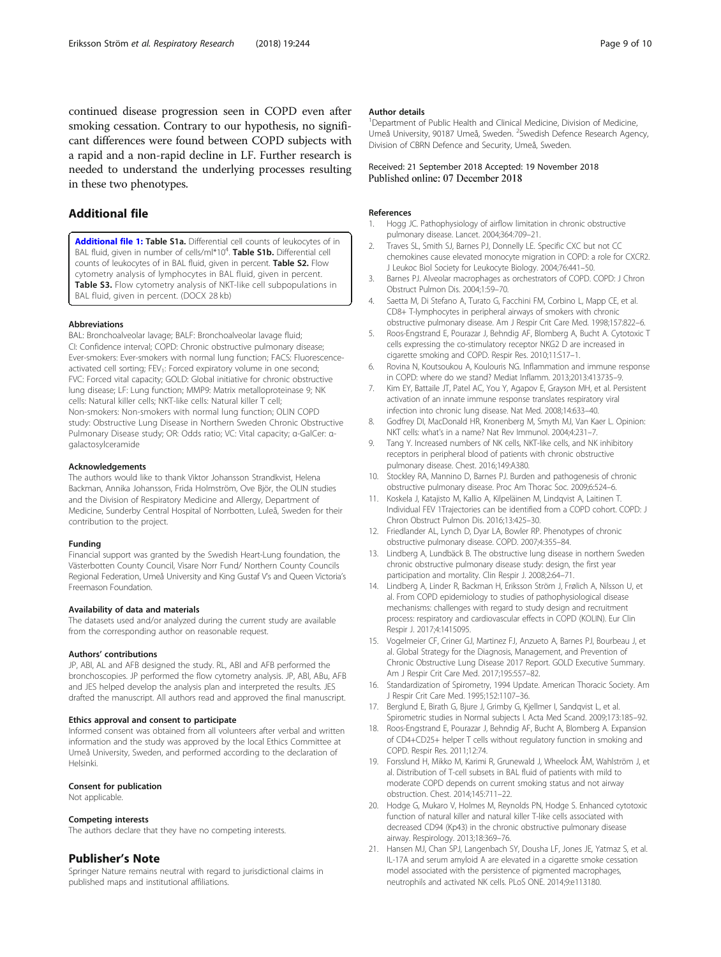<span id="page-8-0"></span>continued disease progression seen in COPD even after smoking cessation. Contrary to our hypothesis, no significant differences were found between COPD subjects with a rapid and a non-rapid decline in LF. Further research is needed to understand the underlying processes resulting in these two phenotypes.

## Additional file

[Additional file 1:](https://doi.org/10.1186/s12931-018-0940-7) Table S1a. Differential cell counts of leukocytes of in BAL fluid, given in number of cells/ml\*10<sup>4</sup>. Table S1b. Differential cell counts of leukocytes of in BAL fluid, given in percent. Table S2. Flow cytometry analysis of lymphocytes in BAL fluid, given in percent. Table S3. Flow cytometry analysis of NKT-like cell subpopulations in BAL fluid, given in percent. (DOCX 28 kb)

#### Abbreviations

BAL: Bronchoalveolar lavage; BALF: Bronchoalveolar lavage fluid; CI: Confidence interval; COPD: Chronic obstructive pulmonary disease; Ever-smokers: Ever-smokers with normal lung function; FACS: Fluorescenceactivated cell sorting; FEV<sub>1</sub>: Forced expiratory volume in one second; FVC: Forced vital capacity; GOLD: Global initiative for chronic obstructive lung disease; LF: Lung function; MMP9: Matrix metalloproteinase 9; NK cells: Natural killer cells; NKT-like cells: Natural killer T cell; Non-smokers: Non-smokers with normal lung function; OLIN COPD study: Obstructive Lung Disease in Northern Sweden Chronic Obstructive Pulmonary Disease study; OR: Odds ratio; VC: Vital capacity; α-GalCer: αgalactosylceramide

#### Acknowledgements

The authors would like to thank Viktor Johansson Strandkvist, Helena Backman, Annika Johansson, Frida Holmström, Ove Björ, the OLIN studies and the Division of Respiratory Medicine and Allergy, Department of Medicine, Sunderby Central Hospital of Norrbotten, Luleå, Sweden for their contribution to the project.

### Funding

Financial support was granted by the Swedish Heart-Lung foundation, the Västerbotten County Council, Visare Norr Fund/ Northern County Councils Regional Federation, Umeå University and King Gustaf V's and Queen Victoria's Freemason Foundation.

#### Availability of data and materials

The datasets used and/or analyzed during the current study are available from the corresponding author on reasonable request.

#### Authors' contributions

JP, ABl, AL and AFB designed the study. RL, ABl and AFB performed the bronchoscopies. JP performed the flow cytometry analysis. JP, ABl, ABu, AFB and JES helped develop the analysis plan and interpreted the results. JES drafted the manuscript. All authors read and approved the final manuscript.

#### Ethics approval and consent to participate

Informed consent was obtained from all volunteers after verbal and written information and the study was approved by the local Ethics Committee at Umeå University, Sweden, and performed according to the declaration of Helsinki.

#### Consent for publication

Not applicable.

#### Competing interests

The authors declare that they have no competing interests.

#### Publisher's Note

Springer Nature remains neutral with regard to jurisdictional claims in published maps and institutional affiliations.

### Author details

<sup>1</sup>Department of Public Health and Clinical Medicine, Division of Medicine Umeå University, 90187 Umeå, Sweden. <sup>2</sup>Swedish Defence Research Agency, Division of CBRN Defence and Security, Umeå, Sweden.

## Received: 21 September 2018 Accepted: 19 November 2018 Published online: 07 December 2018

#### References

- 1. Hogg JC. Pathophysiology of airflow limitation in chronic obstructive pulmonary disease. Lancet. 2004;364:709–21.
- 2. Traves SL, Smith SJ, Barnes PJ, Donnelly LE. Specific CXC but not CC chemokines cause elevated monocyte migration in COPD: a role for CXCR2. J Leukoc Biol Society for Leukocyte Biology. 2004;76:441–50.
- 3. Barnes PJ. Alveolar macrophages as orchestrators of COPD. COPD: J Chron Obstruct Pulmon Dis. 2004;1:59–70.
- 4. Saetta M, Di Stefano A, Turato G, Facchini FM, Corbino L, Mapp CE, et al. CD8+ T-lymphocytes in peripheral airways of smokers with chronic obstructive pulmonary disease. Am J Respir Crit Care Med. 1998;157:822–6.
- 5. Roos-Engstrand E, Pourazar J, Behndig AF, Blomberg A, Bucht A. Cytotoxic T cells expressing the co-stimulatory receptor NKG2 D are increased in cigarette smoking and COPD. Respir Res. 2010;11:S17–1.
- 6. Rovina N, Koutsoukou A, Koulouris NG. Inflammation and immune response in COPD: where do we stand? Mediat Inflamm. 2013;2013:413735–9.
- Kim EY, Battaile JT, Patel AC, You Y, Agapov E, Grayson MH, et al. Persistent activation of an innate immune response translates respiratory viral infection into chronic lung disease. Nat Med. 2008;14:633–40.
- 8. Godfrey DI, MacDonald HR, Kronenberg M, Smyth MJ, Van Kaer L. Opinion: NKT cells: what's in a name? Nat Rev Immunol. 2004;4:231–7.
- 9. Tang Y. Increased numbers of NK cells, NKT-like cells, and NK inhibitory receptors in peripheral blood of patients with chronic obstructive pulmonary disease. Chest. 2016;149:A380.
- 10. Stockley RA, Mannino D, Barnes PJ. Burden and pathogenesis of chronic obstructive pulmonary disease. Proc Am Thorac Soc. 2009;6:524–6.
- 11. Koskela J, Katajisto M, Kallio A, Kilpeläinen M, Lindqvist A, Laitinen T. Individual FEV 1Trajectories can be identified from a COPD cohort. COPD: J Chron Obstruct Pulmon Dis. 2016;13:425–30.
- 12. Friedlander AL, Lynch D, Dyar LA, Bowler RP. Phenotypes of chronic obstructive pulmonary disease. COPD. 2007;4:355–84.
- 13. Lindberg A, Lundbäck B. The obstructive lung disease in northern Sweden chronic obstructive pulmonary disease study: design, the first year participation and mortality. Clin Respir J. 2008;2:64–71.
- 14. Lindberg A, Linder R, Backman H, Eriksson Ström J, Frølich A, Nilsson U, et al. From COPD epidemiology to studies of pathophysiological disease mechanisms: challenges with regard to study design and recruitment process: respiratory and cardiovascular effects in COPD (KOLIN). Eur Clin Respir J. 2017;4:1415095.
- 15. Vogelmeier CF, Criner GJ, Martinez FJ, Anzueto A, Barnes PJ, Bourbeau J, et al. Global Strategy for the Diagnosis, Management, and Prevention of Chronic Obstructive Lung Disease 2017 Report. GOLD Executive Summary. Am J Respir Crit Care Med. 2017;195:557–82.
- 16. Standardization of Spirometry, 1994 Update. American Thoracic Society. Am J Respir Crit Care Med. 1995;152:1107–36.
- 17. Berglund E, Birath G, Bjure J, Grimby G, Kjellmer I, Sandqvist L, et al. Spirometric studies in Normal subjects I. Acta Med Scand. 2009;173:185–92.
- 18. Roos-Engstrand E, Pourazar J, Behndig AF, Bucht A, Blomberg A. Expansion of CD4+CD25+ helper T cells without regulatory function in smoking and COPD. Respir Res. 2011;12:74.
- 19. Forsslund H, Mikko M, Karimi R, Grunewald J, Wheelock ÅM, Wahlström J, et al. Distribution of T-cell subsets in BAL fluid of patients with mild to moderate COPD depends on current smoking status and not airway obstruction. Chest. 2014;145:711–22.
- 20. Hodge G, Mukaro V, Holmes M, Reynolds PN, Hodge S. Enhanced cytotoxic function of natural killer and natural killer T-like cells associated with decreased CD94 (Kp43) in the chronic obstructive pulmonary disease airway. Respirology. 2013;18:369–76.
- 21. Hansen MJ, Chan SPJ, Langenbach SY, Dousha LF, Jones JE, Yatmaz S, et al. IL-17A and serum amyloid A are elevated in a cigarette smoke cessation model associated with the persistence of pigmented macrophages, neutrophils and activated NK cells. PLoS ONE. 2014;9:e113180.